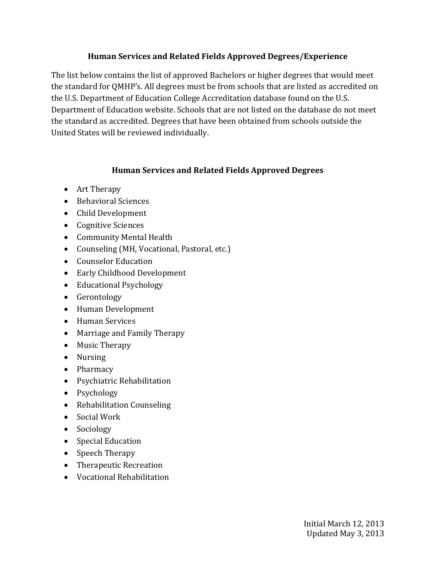## **Human Services and Related Fields Approved Degrees/Experience**

The list below contains the list of approved Bachelors or higher degrees that would meet the standard for QMHP's. All degrees must be from schools that are listed as accredited on the U.S. Department of Education College Accreditation database found on the U.S. Department of Education website. Schools that are not listed on the database do not meet the standard as accredited. Degrees that have been obtained from schools outside the United States will be reviewed individually.

## **Human Services and Related Fields Approved Degrees**

- Art Therapy
- Behavioral Sciences
- Child Development
- Cognitive Sciences
- Community Mental Health
- Counseling (MH, Vocational, Pastoral, etc.)
- Counselor Education
- Early Childhood Development
- Educational Psychology
- Gerontology
- Human Development
- Human Services
- Marriage and Family Therapy
- Music Therapy
- Nursing
- Pharmacy
- Psychiatric Rehabilitation
- Psychology
- Rehabilitation Counseling
- Social Work
- Sociology
- Special Education
- Speech Therapy
- Therapeutic Recreation
- Vocational Rehabilitation